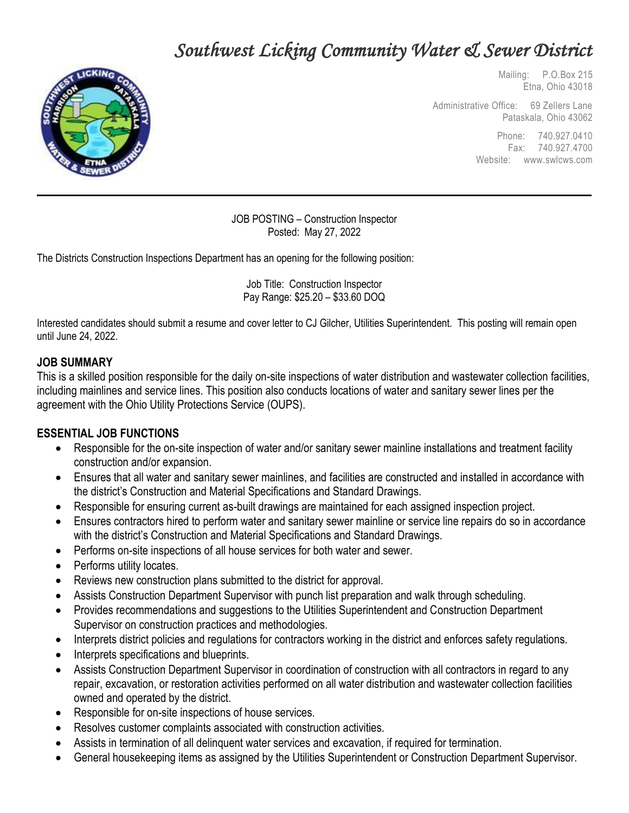# *Southwest Licking Community Water & Sewer District*



 Mailing: P.O.Box 215 Etna, Ohio 43018

Administrative Office: 69 Zellers Lane Pataskala, Ohio 43062

> Phone: 740.927.0410 Fax: 740.927.4700 Website: www.swlcws.com

JOB POSTING – Construction Inspector Posted: May 27, 2022

The Districts Construction Inspections Department has an opening for the following position:

Job Title: Construction Inspector Pay Range: \$25.20 – \$33.60 DOQ

Interested candidates should submit a resume and cover letter to CJ Gilcher, Utilities Superintendent. This posting will remain open until June 24, 2022.

#### **JOB SUMMARY**

This is a skilled position responsible for the daily on-site inspections of water distribution and wastewater collection facilities, including mainlines and service lines. This position also conducts locations of water and sanitary sewer lines per the agreement with the Ohio Utility Protections Service (OUPS).

#### **ESSENTIAL JOB FUNCTIONS**

- Responsible for the on-site inspection of water and/or sanitary sewer mainline installations and treatment facility construction and/or expansion.
- Ensures that all water and sanitary sewer mainlines, and facilities are constructed and installed in accordance with the district's Construction and Material Specifications and Standard Drawings.
- Responsible for ensuring current as-built drawings are maintained for each assigned inspection project.
- Ensures contractors hired to perform water and sanitary sewer mainline or service line repairs do so in accordance with the district's Construction and Material Specifications and Standard Drawings.
- Performs on-site inspections of all house services for both water and sewer.
- Performs utility locates.
- Reviews new construction plans submitted to the district for approval.
- Assists Construction Department Supervisor with punch list preparation and walk through scheduling.
- Provides recommendations and suggestions to the Utilities Superintendent and Construction Department Supervisor on construction practices and methodologies.
- Interprets district policies and regulations for contractors working in the district and enforces safety regulations.
- Interprets specifications and blueprints.
- Assists Construction Department Supervisor in coordination of construction with all contractors in regard to any repair, excavation, or restoration activities performed on all water distribution and wastewater collection facilities owned and operated by the district.
- Responsible for on-site inspections of house services.
- Resolves customer complaints associated with construction activities.
- Assists in termination of all delinquent water services and excavation, if required for termination.
- General housekeeping items as assigned by the Utilities Superintendent or Construction Department Supervisor.